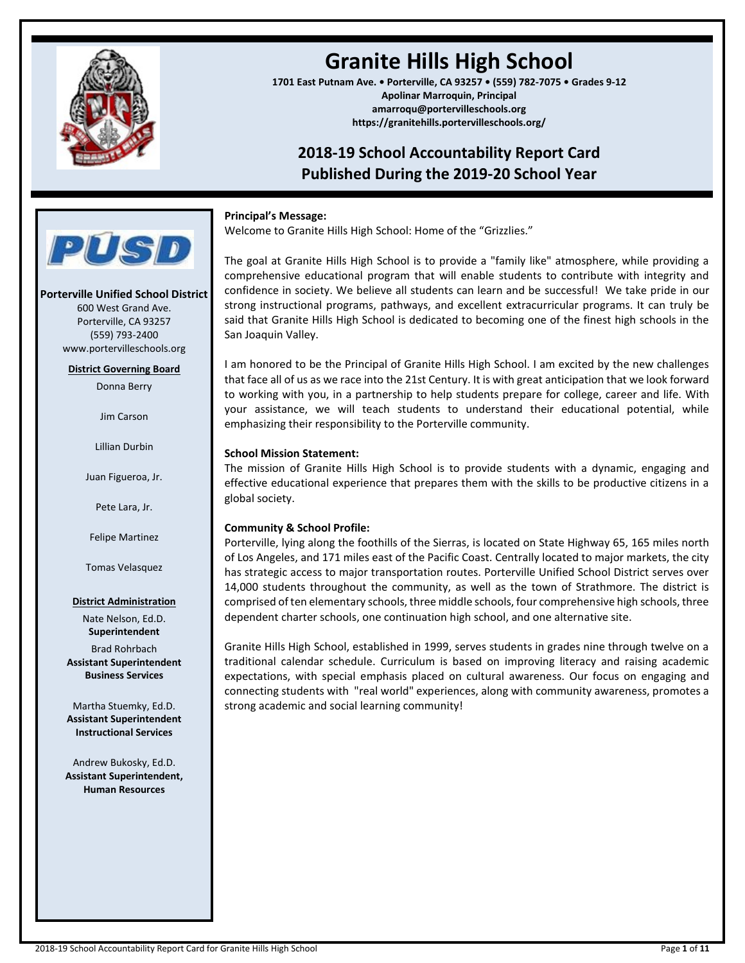

## **Granite Hills High School**

**1701 East Putnam Ave. • Porterville, CA 93257 • (559) 782-7075 • Grades 9-12 Apolinar Marroquin, Principal amarroqu@portervilleschools.org https://granitehills.portervilleschools.org/**

### **2018-19 School Accountability Report Card Published During the 2019-20 School Year**

### **Principal's Message:**

Welcome to Granite Hills High School: Home of the "Grizzlies."

The goal at Granite Hills High School is to provide a "family like" atmosphere, while providing a comprehensive educational program that will enable students to contribute with integrity and confidence in society. We believe all students can learn and be successful! We take pride in our strong instructional programs, pathways, and excellent extracurricular programs. It can truly be said that Granite Hills High School is dedicated to becoming one of the finest high schools in the San Joaquin Valley.

I am honored to be the Principal of Granite Hills High School. I am excited by the new challenges that face all of us as we race into the 21st Century. It is with great anticipation that we look forward to working with you, in a partnership to help students prepare for college, career and life. With your assistance, we will teach students to understand their educational potential, while emphasizing their responsibility to the Porterville community.

### **School Mission Statement:**

The mission of Granite Hills High School is to provide students with a dynamic, engaging and effective educational experience that prepares them with the skills to be productive citizens in a global society.

### **Community & School Profile:**

Porterville, lying along the foothills of the Sierras, is located on State Highway 65, 165 miles north of Los Angeles, and 171 miles east of the Pacific Coast. Centrally located to major markets, the city has strategic access to major transportation routes. Porterville Unified School District serves over 14,000 students throughout the community, as well as the town of Strathmore. The district is comprised of ten elementary schools, three middle schools, four comprehensive high schools, three dependent charter schools, one continuation high school, and one alternative site.

Granite Hills High School, established in 1999, serves students in grades nine through twelve on a traditional calendar schedule. Curriculum is based on improving literacy and raising academic expectations, with special emphasis placed on cultural awareness. Our focus on engaging and connecting students with "real world" experiences, along with community awareness, promotes a strong academic and social learning community!

**Porterville Unified School District** 600 West Grand Ave. Porterville, CA 93257 (559) 793-2400 www.portervilleschools.org

**PUSD** 

**District Governing Board**

Donna Berry

Jim Carson

Lillian Durbin

Juan Figueroa, Jr.

Pete Lara, Jr.

Felipe Martinez

Tomas Velasquez

### **District Administration**

Nate Nelson, Ed.D. **Superintendent** Brad Rohrbach **Assistant Superintendent Business Services**

Martha Stuemky, Ed.D. **Assistant Superintendent Instructional Services**

Andrew Bukosky, Ed.D. **Assistant Superintendent, Human Resources**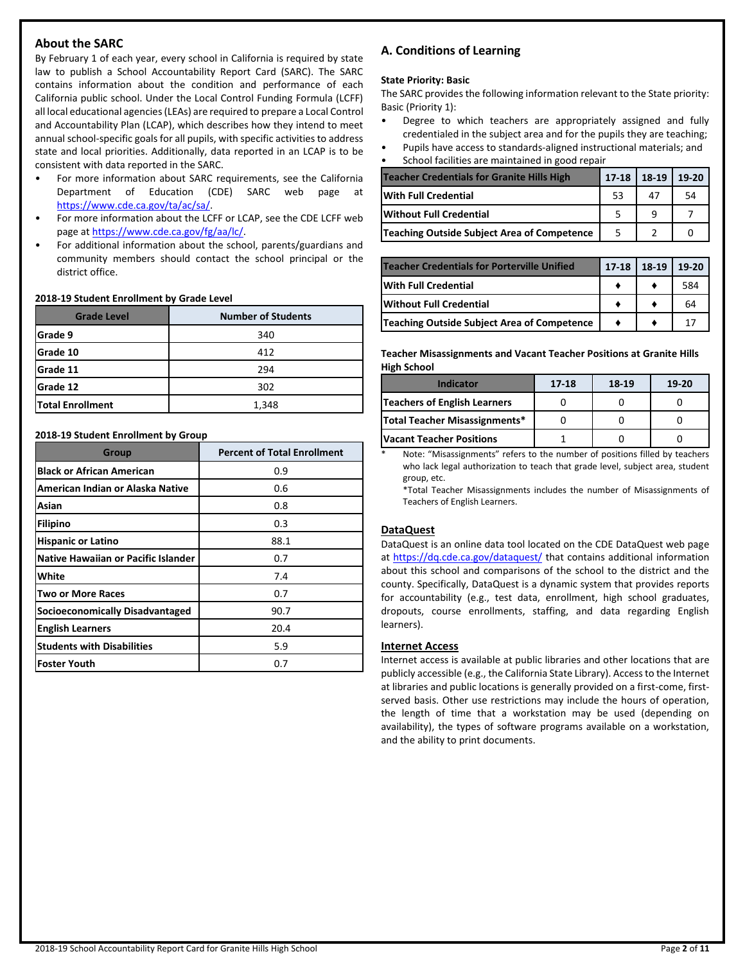### **About the SARC**

By February 1 of each year, every school in California is required by state law to publish a School Accountability Report Card (SARC). The SARC contains information about the condition and performance of each California public school. Under the Local Control Funding Formula (LCFF) all local educational agencies (LEAs) are required to prepare a Local Control and Accountability Plan (LCAP), which describes how they intend to meet annual school-specific goals for all pupils, with specific activities to address state and local priorities. Additionally, data reported in an LCAP is to be consistent with data reported in the SARC.

- For more information about SARC requirements, see the California Department of Education (CDE) SARC web page at [https://www.cde.ca.gov/ta/ac/sa/.](https://www.cde.ca.gov/ta/ac/sa/)
- For more information about the LCFF or LCAP, see the CDE LCFF web page at [https://www.cde.ca.gov/fg/aa/lc/.](https://www.cde.ca.gov/fg/aa/lc/)
- For additional information about the school, parents/guardians and community members should contact the school principal or the district office.

### **2018-19 Student Enrollment by Grade Level**

| <b>Grade Level</b>      | <b>Number of Students</b> |  |  |  |
|-------------------------|---------------------------|--|--|--|
| Grade 9                 | 340                       |  |  |  |
| Grade 10                | 412                       |  |  |  |
| Grade 11                | 294                       |  |  |  |
| Grade 12                | 302                       |  |  |  |
| <b>Total Enrollment</b> | 1,348                     |  |  |  |

### **2018-19 Student Enrollment by Group**

| <b>Group</b>                               | <b>Percent of Total Enrollment</b> |
|--------------------------------------------|------------------------------------|
| <b>Black or African American</b>           | 0.9                                |
| American Indian or Alaska Native           | 0.6                                |
| Asian                                      | 0.8                                |
| <b>Filipino</b>                            | 0.3                                |
| <b>Hispanic or Latino</b>                  | 88.1                               |
| <b>Native Hawaiian or Pacific Islander</b> | 0.7                                |
| White                                      | 7.4                                |
| Two or More Races                          | 0.7                                |
| Socioeconomically Disadvantaged            | 90.7                               |
| <b>English Learners</b>                    | 20.4                               |
| <b>Students with Disabilities</b>          | 5.9                                |
| <b>Foster Youth</b>                        | 0.7                                |

### **A. Conditions of Learning**

### **State Priority: Basic**

The SARC provides the following information relevant to the State priority: Basic (Priority 1):

- Degree to which teachers are appropriately assigned and fully credentialed in the subject area and for the pupils they are teaching;
- Pupils have access to standards-aligned instructional materials; and School facilities are maintained in good repair

| <b>Teacher Credentials for Granite Hills High</b> | $17 - 18$ | 18-19 | 19-20 |
|---------------------------------------------------|-----------|-------|-------|
| With Full Credential                              | 53        | 47    | 54    |
| <b>Without Full Credential</b>                    |           |       |       |
| Teaching Outside Subject Area of Competence       |           |       |       |

| <b>Teacher Credentials for Porterville Unified</b> | $17 - 18$ | 18-19 | $19-20$ |
|----------------------------------------------------|-----------|-------|---------|
| <b>With Full Credential</b>                        |           |       | 584     |
| <b>Without Full Credential</b>                     |           |       | 64      |
| Teaching Outside Subject Area of Competence        |           |       | 17      |

**Teacher Misassignments and Vacant Teacher Positions at Granite Hills High School**

| <b>Indicator</b>                | $17 - 18$ | 18-19 | 19-20 |
|---------------------------------|-----------|-------|-------|
| Teachers of English Learners    |           |       |       |
| Total Teacher Misassignments*   |           |       |       |
| <b>Vacant Teacher Positions</b> |           |       |       |

Note: "Misassignments" refers to the number of positions filled by teachers who lack legal authorization to teach that grade level, subject area, student group, etc.

\*Total Teacher Misassignments includes the number of Misassignments of Teachers of English Learners.

### **DataQuest**

DataQuest is an online data tool located on the CDE DataQuest web page at<https://dq.cde.ca.gov/dataquest/> that contains additional information about this school and comparisons of the school to the district and the county. Specifically, DataQuest is a dynamic system that provides reports for accountability (e.g., test data, enrollment, high school graduates, dropouts, course enrollments, staffing, and data regarding English learners).

### **Internet Access**

Internet access is available at public libraries and other locations that are publicly accessible (e.g., the California State Library). Access to the Internet at libraries and public locations is generally provided on a first-come, firstserved basis. Other use restrictions may include the hours of operation, the length of time that a workstation may be used (depending on availability), the types of software programs available on a workstation, and the ability to print documents.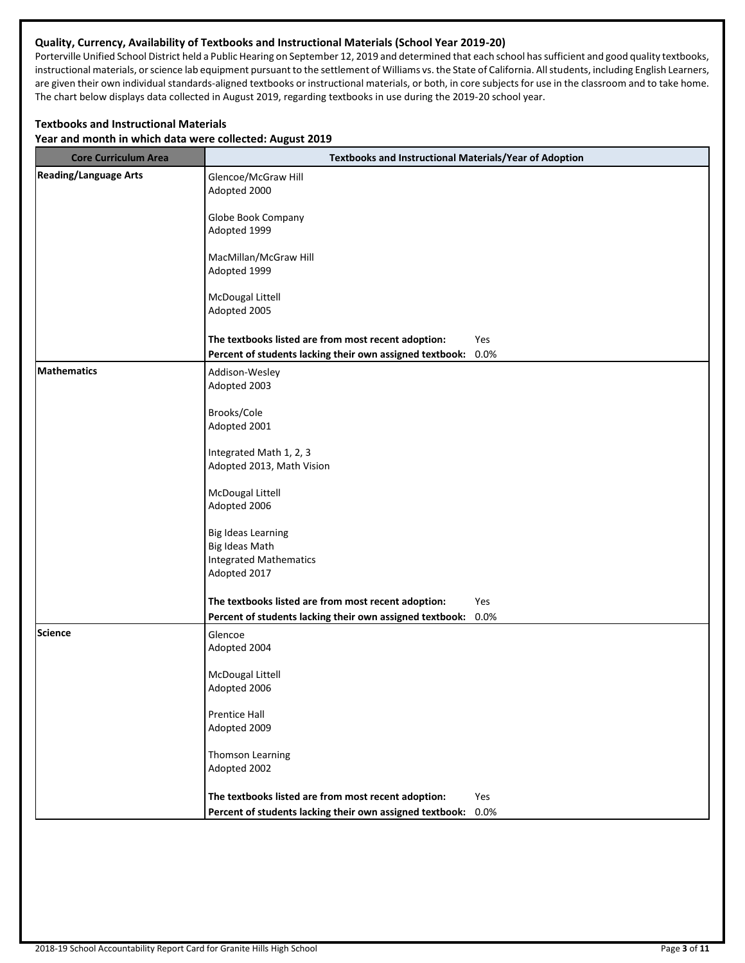### **Quality, Currency, Availability of Textbooks and Instructional Materials (School Year 2019-20)**

Porterville Unified School District held a Public Hearing on September 12, 2019 and determined that each school has sufficient and good quality textbooks, instructional materials, or science lab equipment pursuant to the settlement of Williams vs. the State of California. All students, including English Learners, are given their own individual standards-aligned textbooks or instructional materials, or both, in core subjects for use in the classroom and to take home. The chart below displays data collected in August 2019, regarding textbooks in use during the 2019-20 school year.

### **Textbooks and Instructional Materials**

**Year and month in which data were collected: August 2019**

| <b>Core Curriculum Area</b>  | <b>Textbooks and Instructional Materials/Year of Adoption</b> |      |  |  |
|------------------------------|---------------------------------------------------------------|------|--|--|
| <b>Reading/Language Arts</b> | Glencoe/McGraw Hill<br>Adopted 2000                           |      |  |  |
|                              | Globe Book Company<br>Adopted 1999                            |      |  |  |
|                              | MacMillan/McGraw Hill<br>Adopted 1999                         |      |  |  |
|                              | McDougal Littell<br>Adopted 2005                              |      |  |  |
|                              | The textbooks listed are from most recent adoption:           | Yes  |  |  |
|                              | Percent of students lacking their own assigned textbook:      | 0.0% |  |  |
| <b>Mathematics</b>           | Addison-Wesley<br>Adopted 2003                                |      |  |  |
|                              | Brooks/Cole<br>Adopted 2001                                   |      |  |  |
|                              | Integrated Math 1, 2, 3<br>Adopted 2013, Math Vision          |      |  |  |
|                              | McDougal Littell<br>Adopted 2006                              |      |  |  |
|                              | <b>Big Ideas Learning</b><br>Big Ideas Math                   |      |  |  |
|                              | <b>Integrated Mathematics</b><br>Adopted 2017                 |      |  |  |
|                              | The textbooks listed are from most recent adoption:           | Yes  |  |  |
|                              | Percent of students lacking their own assigned textbook:      | 0.0% |  |  |
| Science                      | Glencoe<br>Adopted 2004                                       |      |  |  |
|                              | McDougal Littell<br>Adopted 2006                              |      |  |  |
|                              | Prentice Hall<br>Adopted 2009                                 |      |  |  |
|                              | <b>Thomson Learning</b><br>Adopted 2002                       |      |  |  |
|                              | The textbooks listed are from most recent adoption:           | Yes  |  |  |
|                              | Percent of students lacking their own assigned textbook:      | 0.0% |  |  |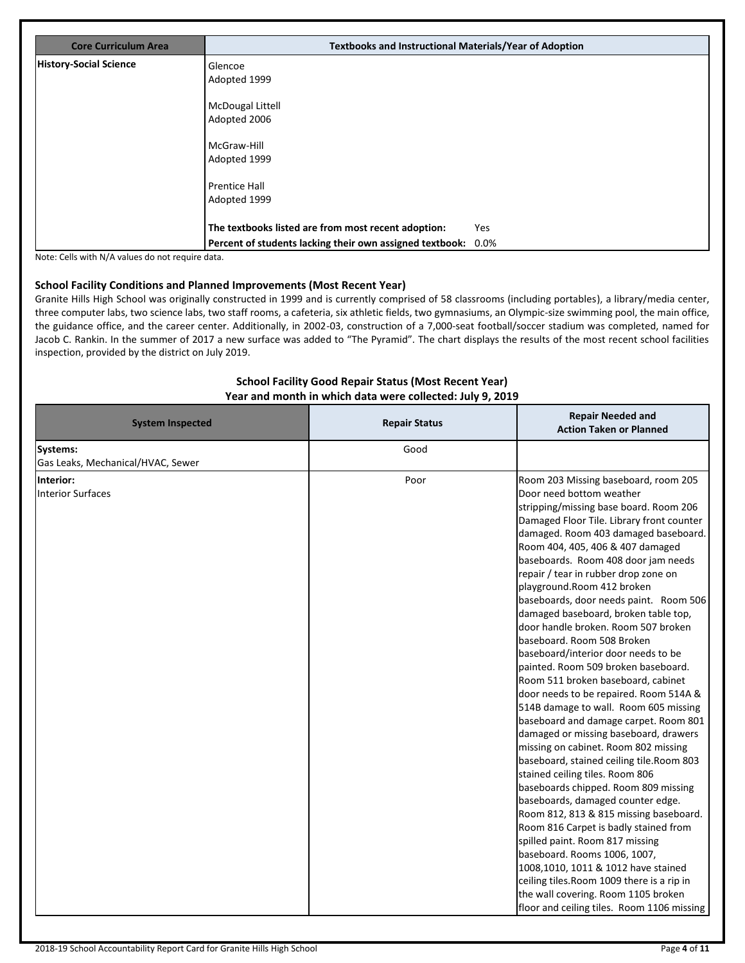| <b>Core Curriculum Area</b>   | <b>Textbooks and Instructional Materials/Year of Adoption</b> |     |
|-------------------------------|---------------------------------------------------------------|-----|
| <b>History-Social Science</b> | Glencoe                                                       |     |
|                               | Adopted 1999                                                  |     |
|                               | <b>McDougal Littell</b>                                       |     |
|                               | Adopted 2006                                                  |     |
|                               | McGraw-Hill                                                   |     |
|                               | Adopted 1999                                                  |     |
|                               | <b>Prentice Hall</b>                                          |     |
|                               | Adopted 1999                                                  |     |
|                               | The textbooks listed are from most recent adoption:           | Yes |
|                               | Percent of students lacking their own assigned textbook: 0.0% |     |

Note: Cells with N/A values do not require data.

### **School Facility Conditions and Planned Improvements (Most Recent Year)**

Granite Hills High School was originally constructed in 1999 and is currently comprised of 58 classrooms (including portables), a library/media center, three computer labs, two science labs, two staff rooms, a cafeteria, six athletic fields, two gymnasiums, an Olympic-size swimming pool, the main office, the guidance office, and the career center. Additionally, in 2002-03, construction of a 7,000-seat football/soccer stadium was completed, named for Jacob C. Rankin. In the summer of 2017 a new surface was added to "The Pyramid". The chart displays the results of the most recent school facilities inspection, provided by the district on July 2019.

### **School Facility Good Repair Status (Most Recent Year) Year and month in which data were collected: July 9, 2019**

| <b>Repair Status</b> | <b>Repair Needed and</b><br><b>Action Taken or Planned</b>                                                                                                                                                                                                                                                                                                                                                                                                                                                                                                                                                                                                                                                                                                                                                                                                                                                                                                                                                                                                                                                                                                                                                                                                                              |
|----------------------|-----------------------------------------------------------------------------------------------------------------------------------------------------------------------------------------------------------------------------------------------------------------------------------------------------------------------------------------------------------------------------------------------------------------------------------------------------------------------------------------------------------------------------------------------------------------------------------------------------------------------------------------------------------------------------------------------------------------------------------------------------------------------------------------------------------------------------------------------------------------------------------------------------------------------------------------------------------------------------------------------------------------------------------------------------------------------------------------------------------------------------------------------------------------------------------------------------------------------------------------------------------------------------------------|
| Good                 |                                                                                                                                                                                                                                                                                                                                                                                                                                                                                                                                                                                                                                                                                                                                                                                                                                                                                                                                                                                                                                                                                                                                                                                                                                                                                         |
|                      |                                                                                                                                                                                                                                                                                                                                                                                                                                                                                                                                                                                                                                                                                                                                                                                                                                                                                                                                                                                                                                                                                                                                                                                                                                                                                         |
| Poor                 | Room 203 Missing baseboard, room 205<br>Door need bottom weather<br>stripping/missing base board. Room 206<br>Damaged Floor Tile. Library front counter<br>damaged. Room 403 damaged baseboard.<br>Room 404, 405, 406 & 407 damaged<br>baseboards. Room 408 door jam needs<br>repair / tear in rubber drop zone on<br>playground.Room 412 broken<br>baseboards, door needs paint. Room 506<br>damaged baseboard, broken table top,<br>door handle broken. Room 507 broken<br>baseboard. Room 508 Broken<br>baseboard/interior door needs to be<br>painted. Room 509 broken baseboard.<br>Room 511 broken baseboard, cabinet<br>door needs to be repaired. Room 514A &<br>514B damage to wall. Room 605 missing<br>baseboard and damage carpet. Room 801<br>damaged or missing baseboard, drawers<br>missing on cabinet. Room 802 missing<br>baseboard, stained ceiling tile. Room 803<br>stained ceiling tiles. Room 806<br>baseboards chipped. Room 809 missing<br>baseboards, damaged counter edge.<br>Room 812, 813 & 815 missing baseboard.<br>Room 816 Carpet is badly stained from<br>spilled paint. Room 817 missing<br>baseboard. Rooms 1006, 1007,<br>1008,1010, 1011 & 1012 have stained<br>ceiling tiles. Room 1009 there is a rip in<br>the wall covering. Room 1105 broken |
|                      | floor and ceiling tiles. Room 1106 missing                                                                                                                                                                                                                                                                                                                                                                                                                                                                                                                                                                                                                                                                                                                                                                                                                                                                                                                                                                                                                                                                                                                                                                                                                                              |
|                      |                                                                                                                                                                                                                                                                                                                                                                                                                                                                                                                                                                                                                                                                                                                                                                                                                                                                                                                                                                                                                                                                                                                                                                                                                                                                                         |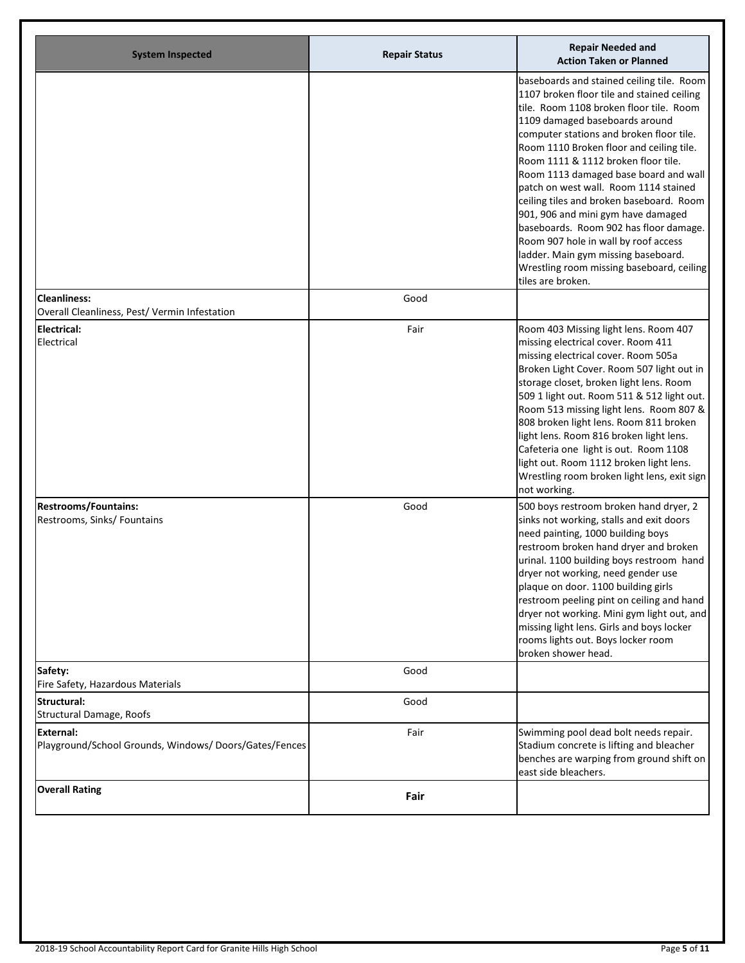| <b>System Inspected</b>                                                   | <b>Repair Status</b> | <b>Repair Needed and</b><br><b>Action Taken or Planned</b>                                                                                                                                                                                                                                                                                                                                                                                                                                                                                                                                                                                                         |
|---------------------------------------------------------------------------|----------------------|--------------------------------------------------------------------------------------------------------------------------------------------------------------------------------------------------------------------------------------------------------------------------------------------------------------------------------------------------------------------------------------------------------------------------------------------------------------------------------------------------------------------------------------------------------------------------------------------------------------------------------------------------------------------|
|                                                                           |                      | baseboards and stained ceiling tile. Room<br>1107 broken floor tile and stained ceiling<br>tile. Room 1108 broken floor tile. Room<br>1109 damaged baseboards around<br>computer stations and broken floor tile.<br>Room 1110 Broken floor and ceiling tile.<br>Room 1111 & 1112 broken floor tile.<br>Room 1113 damaged base board and wall<br>patch on west wall. Room 1114 stained<br>ceiling tiles and broken baseboard. Room<br>901, 906 and mini gym have damaged<br>baseboards. Room 902 has floor damage.<br>Room 907 hole in wall by roof access<br>ladder. Main gym missing baseboard.<br>Wrestling room missing baseboard, ceiling<br>tiles are broken. |
| <b>Cleanliness:</b>                                                       | Good                 |                                                                                                                                                                                                                                                                                                                                                                                                                                                                                                                                                                                                                                                                    |
| Overall Cleanliness, Pest/ Vermin Infestation                             |                      |                                                                                                                                                                                                                                                                                                                                                                                                                                                                                                                                                                                                                                                                    |
| <b>Electrical:</b><br>Electrical                                          | Fair                 | Room 403 Missing light lens. Room 407<br>missing electrical cover. Room 411<br>missing electrical cover. Room 505a<br>Broken Light Cover. Room 507 light out in<br>storage closet, broken light lens. Room<br>509 1 light out. Room 511 & 512 light out.<br>Room 513 missing light lens. Room 807 &<br>808 broken light lens. Room 811 broken<br>light lens. Room 816 broken light lens.<br>Cafeteria one light is out. Room 1108<br>light out. Room 1112 broken light lens.<br>Wrestling room broken light lens, exit sign<br>not working.                                                                                                                        |
| <b>Restrooms/Fountains:</b><br>Restrooms, Sinks/ Fountains                | Good                 | 500 boys restroom broken hand dryer, 2<br>sinks not working, stalls and exit doors<br>need painting, 1000 building boys<br>restroom broken hand dryer and broken<br>urinal. 1100 building boys restroom hand<br>dryer not working, need gender use<br>plaque on door. 1100 building girls<br>restroom peeling pint on ceiling and hand<br>dryer not working. Mini gym light out, and<br>missing light lens. Girls and boys locker<br>rooms lights out. Boys locker room<br>broken shower head.                                                                                                                                                                     |
| Safety:<br>Fire Safety, Hazardous Materials                               | Good                 |                                                                                                                                                                                                                                                                                                                                                                                                                                                                                                                                                                                                                                                                    |
| <b>Structural:</b><br>Structural Damage, Roofs                            | Good                 |                                                                                                                                                                                                                                                                                                                                                                                                                                                                                                                                                                                                                                                                    |
| <b>External:</b><br>Playground/School Grounds, Windows/Doors/Gates/Fences | Fair                 | Swimming pool dead bolt needs repair.<br>Stadium concrete is lifting and bleacher<br>benches are warping from ground shift on<br>east side bleachers.                                                                                                                                                                                                                                                                                                                                                                                                                                                                                                              |
| <b>Overall Rating</b>                                                     | Fair                 |                                                                                                                                                                                                                                                                                                                                                                                                                                                                                                                                                                                                                                                                    |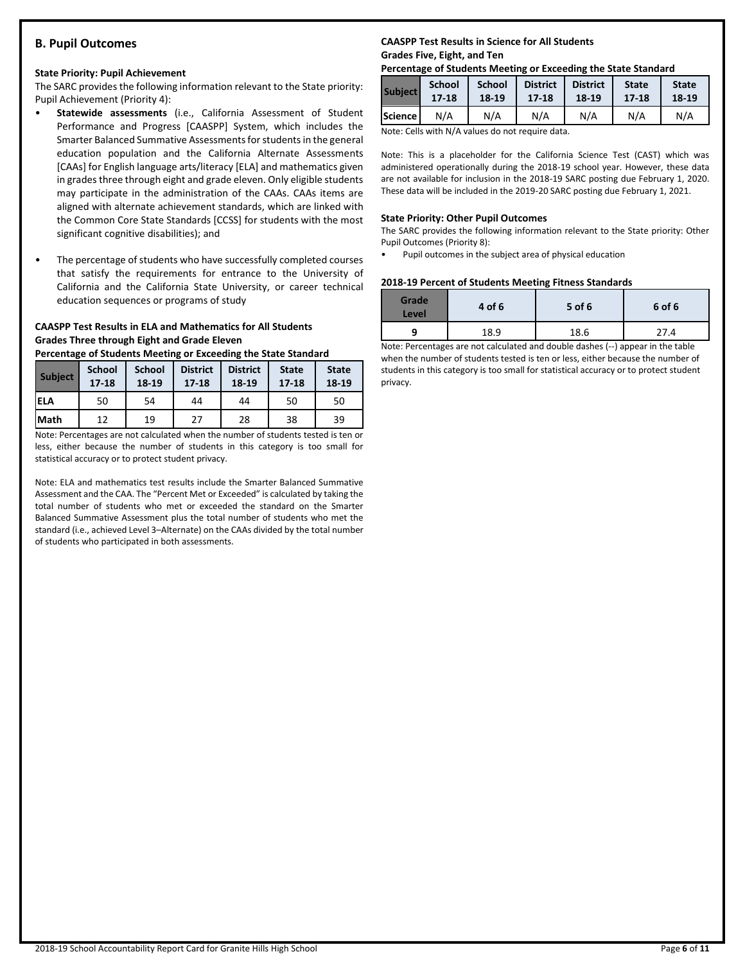### **B. Pupil Outcomes**

### **State Priority: Pupil Achievement**

The SARC provides the following information relevant to the State priority: Pupil Achievement (Priority 4):

- **Statewide assessments** (i.e., California Assessment of Student Performance and Progress [CAASPP] System, which includes the Smarter Balanced Summative Assessments for students in the general education population and the California Alternate Assessments [CAAs] for English language arts/literacy [ELA] and mathematics given in grades three through eight and grade eleven. Only eligible students may participate in the administration of the CAAs. CAAs items are aligned with alternate achievement standards, which are linked with the Common Core State Standards [CCSS] for students with the most significant cognitive disabilities); and
- The percentage of students who have successfully completed courses that satisfy the requirements for entrance to the University of California and the California State University, or career technical education sequences or programs of study

### **CAASPP Test Results in ELA and Mathematics for All Students Grades Three through Eight and Grade Eleven**

**Percentage of Students Meeting or Exceeding the State Standard**

| <b>Subject</b> | <b>School</b><br>$17 - 18$ | <b>School</b><br>18-19 | <b>District</b><br>$17 - 18$ | <b>District</b><br>18-19 | <b>State</b><br>$17 - 18$ | <b>State</b><br>18-19 |
|----------------|----------------------------|------------------------|------------------------------|--------------------------|---------------------------|-----------------------|
| <b>IELA</b>    | 50                         | 54                     | 44                           | 44                       | 50                        | 50                    |
| <b>Math</b>    | 12                         | 19                     | 27                           | 28                       | 38                        | 39                    |

Note: Percentages are not calculated when the number of students tested is ten or less, either because the number of students in this category is too small for statistical accuracy or to protect student privacy.

Note: ELA and mathematics test results include the Smarter Balanced Summative Assessment and the CAA. The "Percent Met or Exceeded" is calculated by taking the total number of students who met or exceeded the standard on the Smarter Balanced Summative Assessment plus the total number of students who met the standard (i.e., achieved Level 3–Alternate) on the CAAs divided by the total number of students who participated in both assessments.

### **CAASPP Test Results in Science for All Students Grades Five, Eight, and Ten**

### **Percentage of Students Meeting or Exceeding the State Standard**

| <b>Subject</b> | <b>School</b> | <b>School</b> | <b>District</b> | <b>District</b> | <b>State</b> | <b>State</b> |
|----------------|---------------|---------------|-----------------|-----------------|--------------|--------------|
|                | $17 - 18$     | 18-19         | 17-18           | 18-19           | $17 - 18$    | 18-19        |
| Science        | N/A           | N/A           | N/A             | N/A             | N/A          | N/A          |

Note: Cells with N/A values do not require data.

Note: This is a placeholder for the California Science Test (CAST) which was administered operationally during the 2018-19 school year. However, these data are not available for inclusion in the 2018-19 SARC posting due February 1, 2020. These data will be included in the 2019-20 SARC posting due February 1, 2021.

### **State Priority: Other Pupil Outcomes**

The SARC provides the following information relevant to the State priority: Other Pupil Outcomes (Priority 8):

• Pupil outcomes in the subject area of physical education

### **2018-19 Percent of Students Meeting Fitness Standards**

| Grade<br>Level | 4 of 6 | 5 of 6 | 6 of 6       |
|----------------|--------|--------|--------------|
|                | 18.9   | 18.6   | <u> 27.4</u> |

Note: Percentages are not calculated and double dashes (--) appear in the table when the number of students tested is ten or less, either because the number of students in this category is too small for statistical accuracy or to protect student privacy.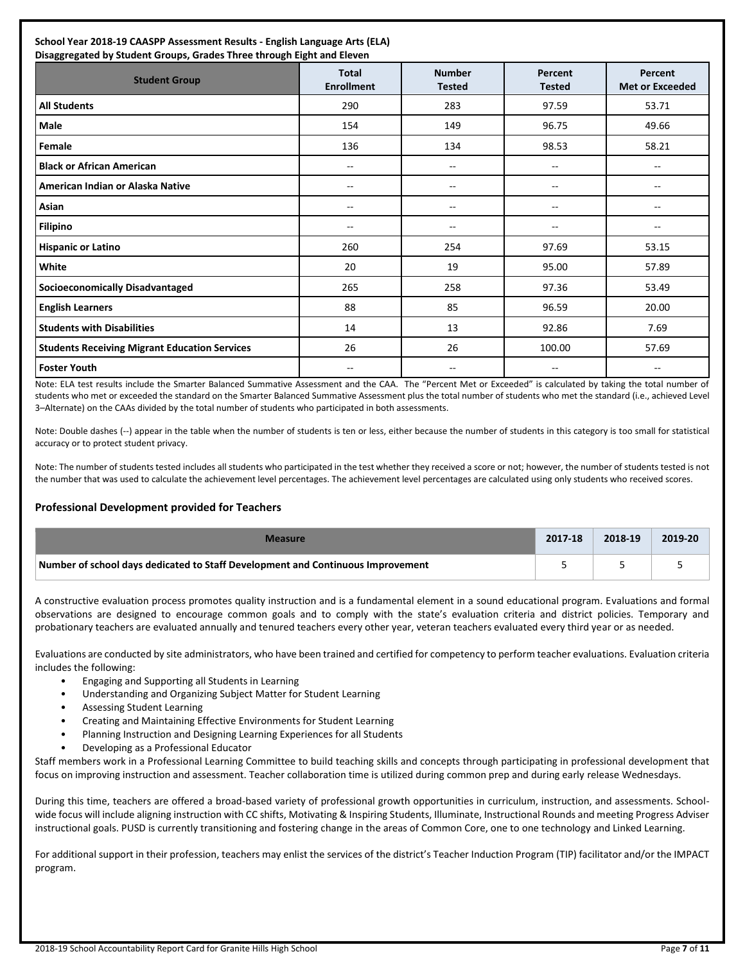| School Year 2018-19 CAASPP Assessment Results - English Language Arts (ELA)<br>Disaggregated by Student Groups, Grades Three through Eight and Eleven |                                   |                                |                          |                                   |  |  |  |
|-------------------------------------------------------------------------------------------------------------------------------------------------------|-----------------------------------|--------------------------------|--------------------------|-----------------------------------|--|--|--|
| <b>Student Group</b>                                                                                                                                  | <b>Total</b><br><b>Enrollment</b> | <b>Number</b><br><b>Tested</b> | Percent<br><b>Tested</b> | Percent<br><b>Met or Exceeded</b> |  |  |  |
| <b>All Students</b>                                                                                                                                   | 290                               | 283                            | 97.59                    | 53.71                             |  |  |  |
| Male                                                                                                                                                  | 154                               | 149                            | 96.75                    | 49.66                             |  |  |  |
| Female                                                                                                                                                | 136                               | 134                            | 98.53                    | 58.21                             |  |  |  |
| <b>Black or African American</b>                                                                                                                      | --                                | --                             | --                       | $\overline{\phantom{a}}$          |  |  |  |
| American Indian or Alaska Native                                                                                                                      | $- -$                             | --                             | --                       | --                                |  |  |  |
| Asian                                                                                                                                                 | $- -$                             | --                             | $-$                      | --                                |  |  |  |
| <b>Filipino</b>                                                                                                                                       | $- -$                             | --                             | --                       | $-$                               |  |  |  |
| <b>Hispanic or Latino</b>                                                                                                                             | 260                               | 254                            | 97.69                    | 53.15                             |  |  |  |
| White                                                                                                                                                 | 20                                | 19                             | 95.00                    | 57.89                             |  |  |  |
| Socioeconomically Disadvantaged                                                                                                                       | 265                               | 258                            | 97.36                    | 53.49                             |  |  |  |
| <b>English Learners</b>                                                                                                                               | 88                                | 85                             | 96.59                    | 20.00                             |  |  |  |
| <b>Students with Disabilities</b>                                                                                                                     | 14                                | 13                             | 92.86                    | 7.69                              |  |  |  |
| <b>Students Receiving Migrant Education Services</b>                                                                                                  | 26                                | 26                             | 100.00                   | 57.69                             |  |  |  |
| <b>Foster Youth</b>                                                                                                                                   | $- -$                             | --                             | --                       | --                                |  |  |  |

Note: ELA test results include the Smarter Balanced Summative Assessment and the CAA. The "Percent Met or Exceeded" is calculated by taking the total number of students who met or exceeded the standard on the Smarter Balanced Summative Assessment plus the total number of students who met the standard (i.e., achieved Level 3–Alternate) on the CAAs divided by the total number of students who participated in both assessments.

Note: Double dashes (--) appear in the table when the number of students is ten or less, either because the number of students in this category is too small for statistical accuracy or to protect student privacy.

Note: The number of students tested includes all students who participated in the test whether they received a score or not; however, the number of students tested is not the number that was used to calculate the achievement level percentages. The achievement level percentages are calculated using only students who received scores.

### **Professional Development provided for Teachers**

| Measure                                                                         | 2017-18 | 2018-19 | 2019-20 |
|---------------------------------------------------------------------------------|---------|---------|---------|
| Number of school days dedicated to Staff Development and Continuous Improvement |         |         |         |

A constructive evaluation process promotes quality instruction and is a fundamental element in a sound educational program. Evaluations and formal observations are designed to encourage common goals and to comply with the state's evaluation criteria and district policies. Temporary and probationary teachers are evaluated annually and tenured teachers every other year, veteran teachers evaluated every third year or as needed.

Evaluations are conducted by site administrators, who have been trained and certified for competency to perform teacher evaluations. Evaluation criteria includes the following:

- Engaging and Supporting all Students in Learning
- Understanding and Organizing Subject Matter for Student Learning
- Assessing Student Learning
- Creating and Maintaining Effective Environments for Student Learning
- Planning Instruction and Designing Learning Experiences for all Students
- Developing as a Professional Educator

Staff members work in a Professional Learning Committee to build teaching skills and concepts through participating in professional development that focus on improving instruction and assessment. Teacher collaboration time is utilized during common prep and during early release Wednesdays.

During this time, teachers are offered a broad-based variety of professional growth opportunities in curriculum, instruction, and assessments. Schoolwide focus will include aligning instruction with CC shifts, Motivating & Inspiring Students, Illuminate, Instructional Rounds and meeting Progress Adviser instructional goals. PUSD is currently transitioning and fostering change in the areas of Common Core, one to one technology and Linked Learning.

For additional support in their profession, teachers may enlist the services of the district's Teacher Induction Program (TIP) facilitator and/or the IMPACT program.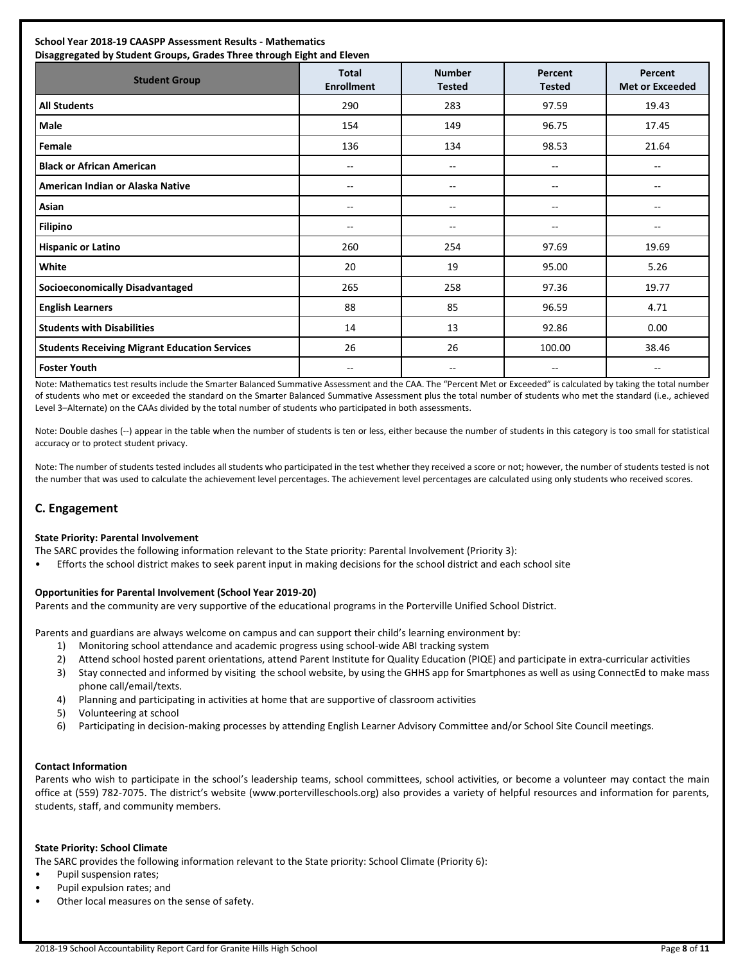### **School Year 2018-19 CAASPP Assessment Results - Mathematics**

| Disaggregated by Student Groups, Grades Three through Eight and Eleven |                                   |                                |                          |                                   |  |  |  |
|------------------------------------------------------------------------|-----------------------------------|--------------------------------|--------------------------|-----------------------------------|--|--|--|
| <b>Student Group</b>                                                   | <b>Total</b><br><b>Enrollment</b> | <b>Number</b><br><b>Tested</b> | Percent<br><b>Tested</b> | Percent<br><b>Met or Exceeded</b> |  |  |  |
| <b>All Students</b>                                                    | 290                               | 283                            | 97.59                    | 19.43                             |  |  |  |
| Male                                                                   | 154                               | 149                            | 96.75                    | 17.45                             |  |  |  |
| Female                                                                 | 136                               | 134                            | 98.53                    | 21.64                             |  |  |  |
| <b>Black or African American</b>                                       | $\sim$                            | $-$                            | $- -$                    | --                                |  |  |  |
| American Indian or Alaska Native                                       | --                                | --                             | --                       | --                                |  |  |  |
| Asian                                                                  | $\overline{\phantom{m}}$          | --                             | -−                       | --                                |  |  |  |
| Filipino                                                               | $\overline{\phantom{a}}$          | --                             | --                       | --                                |  |  |  |
| <b>Hispanic or Latino</b>                                              | 260                               | 254                            | 97.69                    | 19.69                             |  |  |  |
| White                                                                  | 20                                | 19                             | 95.00                    | 5.26                              |  |  |  |
| <b>Socioeconomically Disadvantaged</b>                                 | 265                               | 258                            | 97.36                    | 19.77                             |  |  |  |
| <b>English Learners</b>                                                | 88                                | 85                             | 96.59                    | 4.71                              |  |  |  |
| <b>Students with Disabilities</b>                                      | 14                                | 13                             | 92.86                    | 0.00                              |  |  |  |
| <b>Students Receiving Migrant Education Services</b>                   | 26                                | 26                             | 100.00                   | 38.46                             |  |  |  |
| <b>Foster Youth</b>                                                    | $\overline{\phantom{a}}$          | --                             | --                       | --                                |  |  |  |

Note: Mathematics test results include the Smarter Balanced Summative Assessment and the CAA. The "Percent Met or Exceeded" is calculated by taking the total number of students who met or exceeded the standard on the Smarter Balanced Summative Assessment plus the total number of students who met the standard (i.e., achieved Level 3–Alternate) on the CAAs divided by the total number of students who participated in both assessments.

Note: Double dashes (--) appear in the table when the number of students is ten or less, either because the number of students in this category is too small for statistical accuracy or to protect student privacy.

Note: The number of students tested includes all students who participated in the test whether they received a score or not; however, the number of students tested is not the number that was used to calculate the achievement level percentages. The achievement level percentages are calculated using only students who received scores.

### **C. Engagement**

### **State Priority: Parental Involvement**

The SARC provides the following information relevant to the State priority: Parental Involvement (Priority 3):

• Efforts the school district makes to seek parent input in making decisions for the school district and each school site

### **Opportunities for Parental Involvement (School Year 2019-20)**

Parents and the community are very supportive of the educational programs in the Porterville Unified School District.

Parents and guardians are always welcome on campus and can support their child's learning environment by:

- 1) Monitoring school attendance and academic progress using school-wide ABI tracking system
- 2) Attend school hosted parent orientations, attend Parent Institute for Quality Education (PIQE) and participate in extra-curricular activities
- 3) Stay connected and informed by visiting the school website, by using the GHHS app for Smartphones as well as using ConnectEd to make mass phone call/email/texts.
- 4) Planning and participating in activities at home that are supportive of classroom activities
- 5) Volunteering at school
- 6) Participating in decision-making processes by attending English Learner Advisory Committee and/or School Site Council meetings.

### **Contact Information**

Parents who wish to participate in the school's leadership teams, school committees, school activities, or become a volunteer may contact the main office at (559) 782-7075. The district's website (www.portervilleschools.org) also provides a variety of helpful resources and information for parents, students, staff, and community members.

### **State Priority: School Climate**

The SARC provides the following information relevant to the State priority: School Climate (Priority 6):

- Pupil suspension rates;
- Pupil expulsion rates; and
- Other local measures on the sense of safety.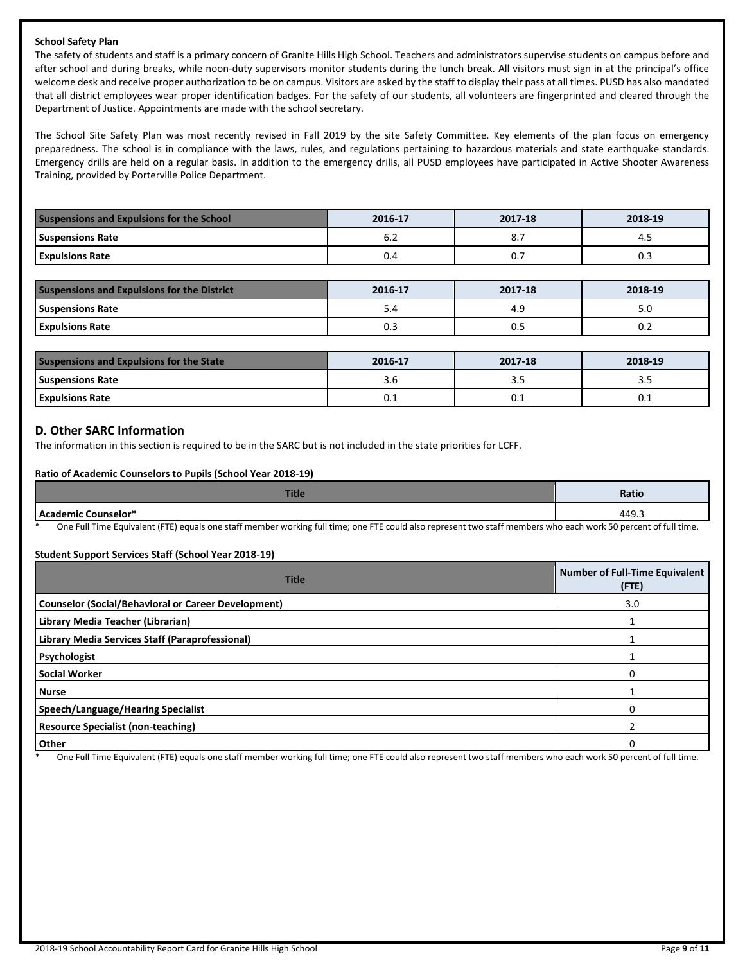### **School Safety Plan**

The safety of students and staff is a primary concern of Granite Hills High School. Teachers and administrators supervise students on campus before and after school and during breaks, while noon-duty supervisors monitor students during the lunch break. All visitors must sign in at the principal's office welcome desk and receive proper authorization to be on campus. Visitors are asked by the staff to display their pass at all times. PUSD has also mandated that all district employees wear proper identification badges. For the safety of our students, all volunteers are fingerprinted and cleared through the Department of Justice. Appointments are made with the school secretary.

The School Site Safety Plan was most recently revised in Fall 2019 by the site Safety Committee. Key elements of the plan focus on emergency preparedness. The school is in compliance with the laws, rules, and regulations pertaining to hazardous materials and state earthquake standards. Emergency drills are held on a regular basis. In addition to the emergency drills, all PUSD employees have participated in Active Shooter Awareness Training, provided by Porterville Police Department.

| <b>Suspensions and Expulsions for the School</b> | 2016-17 | 2017-18 | 2018-19 |
|--------------------------------------------------|---------|---------|---------|
| <b>Suspensions Rate</b>                          | o.z     | ٥.,     | 4.5     |
| <b>Expulsions Rate</b>                           | 0.4     | υ.,     | U.S     |

| <b>Suspensions and Expulsions for the District</b> | 2016-17 | 2017-18 | 2018-19 |
|----------------------------------------------------|---------|---------|---------|
| <b>Suspensions Rate</b>                            | 5.4     | 4.9     | J.U     |
| <b>Expulsions Rate</b>                             | 0.3     | U.S     | 0.2     |

| <b>Suspensions and Expulsions for the State</b> | 2016-17 | 2017-18 | 2018-19 |
|-------------------------------------------------|---------|---------|---------|
| <b>Suspensions Rate</b>                         | 5.0     |         |         |
| <b>Expulsions Rate</b>                          | ∪.⊥     | U.L     | U.L     |

### **D. Other SARC Information**

The information in this section is required to be in the SARC but is not included in the state priorities for LCFF.

### **Ratio of Academic Counselors to Pupils (School Year 2018-19)**

| Title                                                                                                      | Ratio                                       |
|------------------------------------------------------------------------------------------------------------|---------------------------------------------|
| Counselor*                                                                                                 | 449.                                        |
| $\sim$<br>$\sim$ $\sim$ $\sim$ $\sim$<br>.<br>__ _ _ _<br>$\cdots$<br>____<br>.<br><b>STATE</b><br>_______ | $\sim$ $\sim$ $\sim$ $\sim$<br>$\cdot$ $ -$ |

One Full Time Equivalent (FTE) equals one staff member working full time; one FTE could also represent two staff members who each work 50 percent of full time.

### **Student Support Services Staff (School Year 2018-19)**

| <b>Title</b>                                               | <b>Number of Full-Time Equivalent</b><br>(FTE) |
|------------------------------------------------------------|------------------------------------------------|
| <b>Counselor (Social/Behavioral or Career Development)</b> | 3.0                                            |
| Library Media Teacher (Librarian)                          |                                                |
| Library Media Services Staff (Paraprofessional)            |                                                |
| Psychologist                                               |                                                |
| <b>Social Worker</b>                                       |                                                |
| <b>Nurse</b>                                               |                                                |
| Speech/Language/Hearing Specialist                         |                                                |
| <b>Resource Specialist (non-teaching)</b>                  |                                                |
| <b>Other</b>                                               |                                                |

One Full Time Equivalent (FTE) equals one staff member working full time; one FTE could also represent two staff members who each work 50 percent of full time.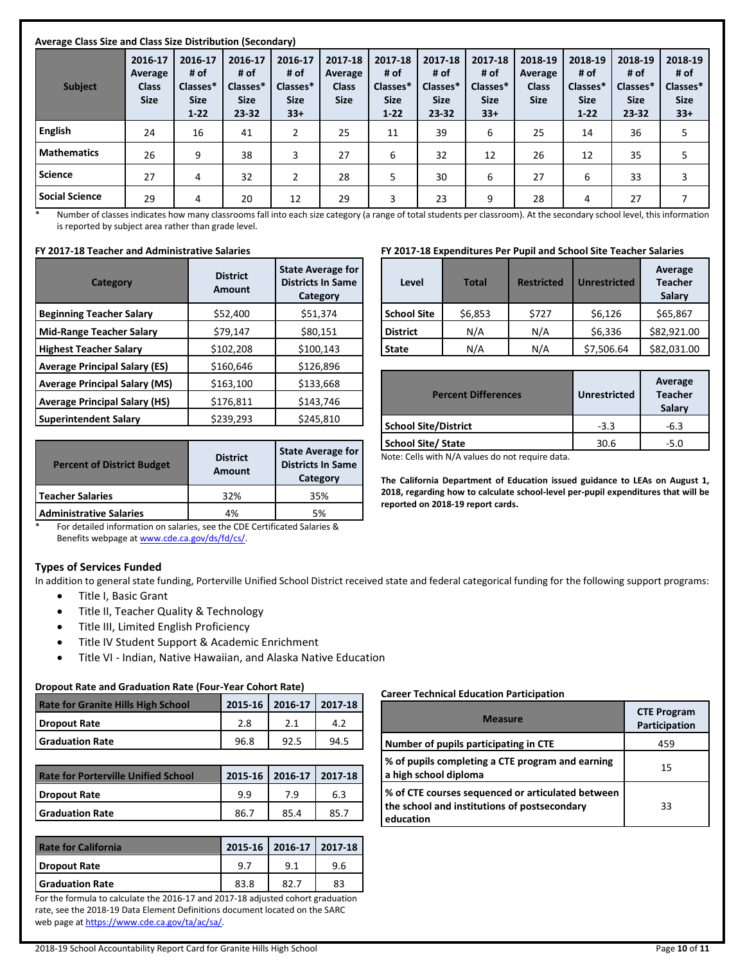| Average Class Size and Class Size Distribution (Secondary) |                                                   |                                                        |                                                         |                                                     |                                                   |                                                        |                                                         |                                                     |                                                   |                                                        |                                                     |                                                     |
|------------------------------------------------------------|---------------------------------------------------|--------------------------------------------------------|---------------------------------------------------------|-----------------------------------------------------|---------------------------------------------------|--------------------------------------------------------|---------------------------------------------------------|-----------------------------------------------------|---------------------------------------------------|--------------------------------------------------------|-----------------------------------------------------|-----------------------------------------------------|
| <b>Subject</b>                                             | 2016-17<br>Average<br><b>Class</b><br><b>Size</b> | 2016-17<br># of<br>Classes*<br><b>Size</b><br>$1 - 22$ | 2016-17<br># of<br>Classes*<br><b>Size</b><br>$23 - 32$ | 2016-17<br># of<br>Classes*<br><b>Size</b><br>$33+$ | 2017-18<br>Average<br><b>Class</b><br><b>Size</b> | 2017-18<br># of<br>Classes*<br><b>Size</b><br>$1 - 22$ | 2017-18<br># of<br>Classes*<br><b>Size</b><br>$23 - 32$ | 2017-18<br># of<br>Classes*<br><b>Size</b><br>$33+$ | 2018-19<br>Average<br><b>Class</b><br><b>Size</b> | 2018-19<br># of<br>Classes*<br><b>Size</b><br>$1 - 22$ | 2018-19<br># of<br>Classes*<br><b>Size</b><br>23-32 | 2018-19<br># of<br>Classes*<br><b>Size</b><br>$33+$ |
| <b>English</b>                                             | 24                                                | 16                                                     | 41                                                      | 2                                                   | 25                                                | 11                                                     | 39                                                      | 6                                                   | 25                                                | 14                                                     | 36                                                  | 5                                                   |
| <b>Mathematics</b>                                         | 26                                                | 9                                                      | 38                                                      | 3                                                   | 27                                                | 6                                                      | 32                                                      | 12                                                  | 26                                                | 12                                                     | 35                                                  | 5                                                   |
| <b>Science</b>                                             | 27                                                | 4                                                      | 32                                                      | $\overline{2}$                                      | 28                                                | 5                                                      | 30                                                      | 6                                                   | 27                                                | 6                                                      | 33                                                  | 3                                                   |
| <b>Social Science</b>                                      | 29                                                | 4                                                      | 20                                                      | 12                                                  | 29                                                | 3                                                      | 23                                                      | 9                                                   | 28                                                | 4                                                      | 27                                                  |                                                     |

\* Number of classes indicates how many classrooms fall into each size category (a range of total students per classroom). At the secondary school level, this information is reported by subject area rather than grade level.

### **FY 2017-18 Teacher and Administrative Salaries**

| Category                             | <b>District</b><br>Amount | <b>State Average for</b><br><b>Districts In Same</b><br>Category |
|--------------------------------------|---------------------------|------------------------------------------------------------------|
| <b>Beginning Teacher Salary</b>      | \$52,400                  | \$51,374                                                         |
| <b>Mid-Range Teacher Salary</b>      | \$79,147                  | \$80,151                                                         |
| <b>Highest Teacher Salary</b>        | \$102,208                 | \$100,143                                                        |
| <b>Average Principal Salary (ES)</b> | \$160,646                 | \$126,896                                                        |
| <b>Average Principal Salary (MS)</b> | \$163,100                 | \$133,668                                                        |
| <b>Average Principal Salary (HS)</b> | \$176,811                 | \$143,746                                                        |
| <b>Superintendent Salary</b>         | \$239,293                 | \$245,810                                                        |

|     | <b>State Average for</b><br><b>Districts In Same</b><br>Category |  |  |
|-----|------------------------------------------------------------------|--|--|
| 32% | 35%                                                              |  |  |
| 4%  | 5%                                                               |  |  |
|     | <b>Amount</b>                                                    |  |  |

### For detailed information on salaries, see the CDE Certificated Salaries & Benefits webpage a[t www.cde.ca.gov/ds/fd/cs/.](http://www.cde.ca.gov/ds/fd/cs/)

### **Types of Services Funded**

In addition to general state funding, Porterville Unified School District received state and federal categorical funding for the following support programs:

- Title I, Basic Grant
- Title II, Teacher Quality & Technology
- Title III, Limited English Proficiency
- Title IV Student Support & Academic Enrichment
- Title VI Indian, Native Hawaiian, and Alaska Native Education

### **Dropout Rate and Graduation Rate (Four-Year Cohort Rate)**

| <b>Rate for Granite Hills High School</b> |      | 2015-16 2016-17 2017-18 |      |
|-------------------------------------------|------|-------------------------|------|
| Dropout Rate                              | 2.8  |                         |      |
| <b>Graduation Rate</b>                    | 96.8 | 92.5                    | 94.5 |

| <b>Rate for Porterville Unified School</b> |      | 2015-16 2016-17 2017-18 |      |
|--------------------------------------------|------|-------------------------|------|
| <b>I</b> Dropout Rate                      | 99   | 7.9                     | 6.3  |
| <b>Graduation Rate</b>                     | 86.7 | 85.4                    | 85.7 |

| <b>Rate for California</b> |      | 2015-16   2016-17   2017-18 |     |
|----------------------------|------|-----------------------------|-----|
| Dropout Rate               | 9.   |                             | 9.6 |
| <b>Graduation Rate</b>     | 83.8 | 82 7                        | 83  |

For the formula to calculate the 2016-17 and 2017-18 adjusted cohort graduation rate, see the 2018-19 Data Element Definitions document located on the SARC web page a[t https://www.cde.ca.gov/ta/ac/sa/.](https://www.cde.ca.gov/ta/ac/sa/) 

**FY 2017-18 Expenditures Per Pupil and School Site Teacher Salaries**

| <b>School Site</b> | \$6,853 | \$727 | \$6.126    | \$65,867    |
|--------------------|---------|-------|------------|-------------|
| <b>District</b>    | N/A     | N/A   | \$6,336    | \$82,921,00 |
| <b>State</b>       | N/A     | N/A   | \$7.506.64 | \$82.031.00 |
|                    |         |       |            |             |

**Average Teacher Salary**

| <b>Percent Differences</b>  | <b>Unrestricted</b> | Average<br><b>Teacher</b><br>Salary |
|-----------------------------|---------------------|-------------------------------------|
| <b>School Site/District</b> | $-3.3$              | -6.3                                |
| <b>School Site/ State</b>   | 30.6                | $-5.0$                              |
| .<br>.<br>$\sim$            |                     |                                     |

Note: Cells with N/A values do not require data.

**The California Department of Education issued guidance to LEAs on August 1, 2018, regarding how to calculate school-level per-pupil expenditures that will be reported on 2018-19 report cards.**

### **Career Technical Education Participation**

| <b>Measure</b>                                                                                                 | <b>CTE Program</b><br>Participation |
|----------------------------------------------------------------------------------------------------------------|-------------------------------------|
| Number of pupils participating in CTE                                                                          | 459                                 |
| % of pupils completing a CTE program and earning<br>a high school diploma                                      | 15                                  |
| % of CTE courses sequenced or articulated between<br>the school and institutions of postsecondary<br>education | 33                                  |

# **Level Total Restricted Unrestricted**

2018-19 School Accountability Report Card for Granite Hills High School Page **10** of **11**